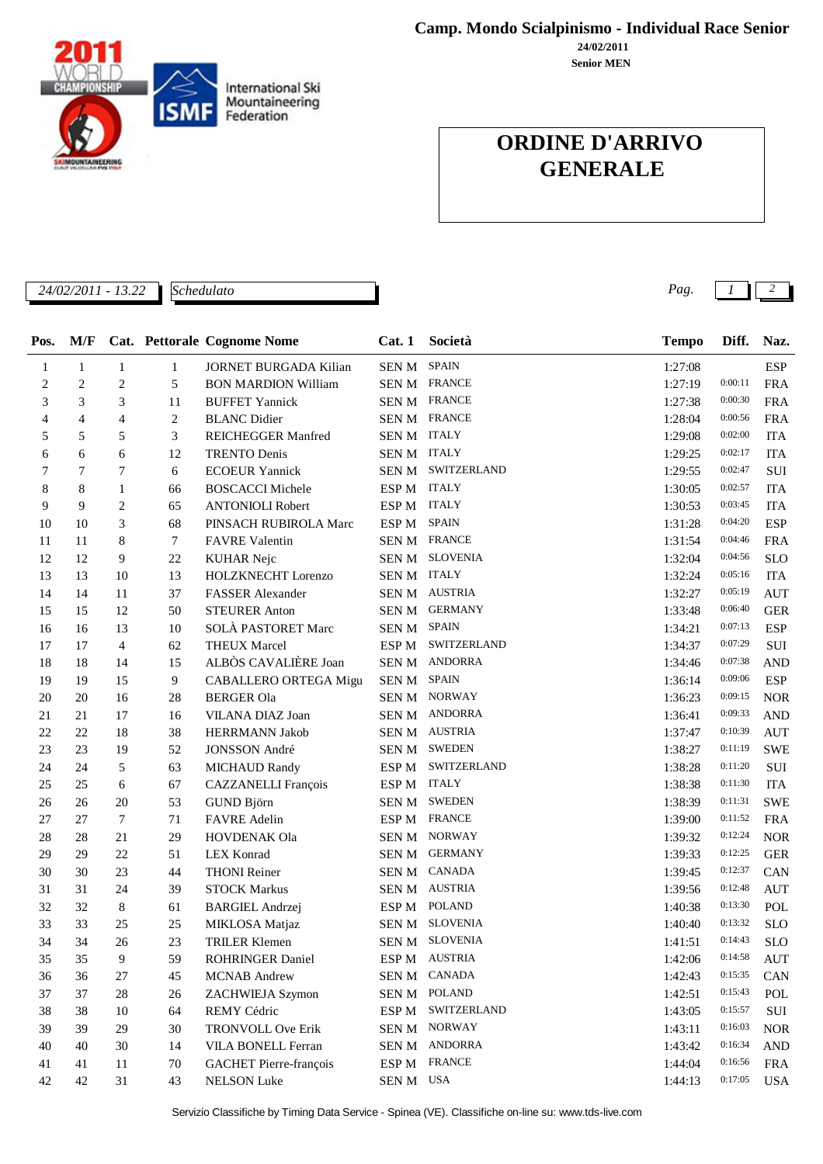Servizio Classifiche by Timing Data Service - Spinea (VE). Classifiche on-line su: www.tds-live.com

#### **Camp. Mondo Scialpinismo - Individual Race Senior**

**Senior MEN 24/02/2011**

### **ORDINE D'ARRIVO GENERALE**

| 1222<br>24/02/2011 - 13.22 | Schedulato | $a_{q}$ |  |  |
|----------------------------|------------|---------|--|--|
|                            |            |         |  |  |

| Pos. | M/F          |                |                | Cat. Pettorale Cognome Nome  | Cat.1       | Società             | <b>Tempo</b> | Diff.   | Naz.       |
|------|--------------|----------------|----------------|------------------------------|-------------|---------------------|--------------|---------|------------|
| 1    | $\mathbf{1}$ | 1              | 1              | <b>JORNET BURGADA Kilian</b> | SEN M       | <b>SPAIN</b>        | 1:27:08      |         | <b>ESP</b> |
| 2    | 2            | 2              | 5              | <b>BON MARDION William</b>   |             | SEN M FRANCE        | 1:27:19      | 0:00:11 | <b>FRA</b> |
| 3    | 3            | 3              | 11             | <b>BUFFET Yannick</b>        |             | <b>SEN M FRANCE</b> | 1:27:38      | 0:00:30 | <b>FRA</b> |
| 4    | 4            | 4              | $\overline{c}$ | <b>BLANC</b> Didier          |             | <b>SEN M FRANCE</b> | 1:28:04      | 0:00:56 | <b>FRA</b> |
| 5    | 5            | 5              | 3              | REICHEGGER Manfred           | SEN M ITALY |                     | 1:29:08      | 0:02:00 | <b>ITA</b> |
| 6    | 6            | 6              | 12             | <b>TRENTO Denis</b>          | SEN M ITALY |                     | 1:29:25      | 0:02:17 | <b>ITA</b> |
| 7    | 7            | 7              | 6              | <b>ECOEUR Yannick</b>        | SEN M       | SWITZERLAND         | 1:29:55      | 0:02:47 | SUI        |
| 8    | 8            | 1              | 66             | <b>BOSCACCI Michele</b>      | ESP M       | <b>ITALY</b>        | 1:30:05      | 0:02:57 | <b>ITA</b> |
| 9    | 9            | 2              | 65             | <b>ANTONIOLI Robert</b>      | ESP M       | <b>ITALY</b>        | 1:30:53      | 0:03:45 | <b>ITA</b> |
| 10   | 10           | 3              | 68             | PINSACH RUBIROLA Marc        | ESP M       | <b>SPAIN</b>        | 1:31:28      | 0:04:20 | <b>ESP</b> |
| 11   | 11           | 8              | 7              | <b>FAVRE Valentin</b>        |             | <b>SEN M FRANCE</b> | 1:31:54      | 0:04:46 | <b>FRA</b> |
| 12   | 12           | 9              | 22             | <b>KUHAR Nejc</b>            |             | SEN M SLOVENIA      | 1:32:04      | 0:04:56 | <b>SLO</b> |
| 13   | 13           | 10             | 13             | HOLZKNECHT Lorenzo           | SEN M ITALY |                     | 1:32:24      | 0:05:16 | <b>ITA</b> |
| 14   | 14           | 11             | 37             | <b>FASSER</b> Alexander      |             | SEN M AUSTRIA       | 1:32:27      | 0:05:19 | <b>AUT</b> |
| 15   | 15           | 12             | 50             | <b>STEURER Anton</b>         |             | SEN M GERMANY       | 1:33:48      | 0:06:40 | <b>GER</b> |
| 16   | 16           | 13             | 10             | SOLÀ PASTORET Marc           | SEN M       | <b>SPAIN</b>        | 1:34:21      | 0:07:13 | <b>ESP</b> |
| 17   | 17           | $\overline{4}$ | 62             | <b>THEUX Marcel</b>          | ESP M       | SWITZERLAND         | 1:34:37      | 0:07:29 | SUI        |
| 18   | 18           | 14             | 15             | ALBÒS CAVALIÈRE Joan         | SEN M       | ANDORRA             | 1:34:46      | 0:07:38 | <b>AND</b> |
| 19   | 19           | 15             | 9              | CABALLERO ORTEGA Migu        | SEN M       | <b>SPAIN</b>        | 1:36:14      | 0:09:06 | <b>ESP</b> |
| 20   | 20           | 16             | $28\,$         | <b>BERGER Ola</b>            | SEN M       | <b>NORWAY</b>       | 1:36:23      | 0:09:15 | <b>NOR</b> |
| 21   | 21           | 17             | 16             | VILANA DIAZ Joan             | SEN M       | <b>ANDORRA</b>      | 1:36:41      | 0:09:33 | <b>AND</b> |
| 22   | 22           | 18             | 38             | HERRMANN Jakob               | SEN M       | <b>AUSTRIA</b>      | 1:37:47      | 0:10:39 | <b>AUT</b> |
| 23   | 23           | 19             | 52             | <b>JONSSON</b> André         |             | SEN M SWEDEN        | 1:38:27      | 0:11:19 | <b>SWE</b> |
| 24   | 24           | 5              | 63             | <b>MICHAUD Randy</b>         | ESP M       | SWITZERLAND         | 1:38:28      | 0:11:20 | $\rm SUI$  |
| 25   | 25           | 6              | 67             | CAZZANELLI François          | ESP M       | <b>ITALY</b>        | 1:38:38      | 0:11:30 | <b>ITA</b> |
| 26   | 26           | 20             | 53             | GUND Björn                   | SEN M       | <b>SWEDEN</b>       | 1:38:39      | 0:11:31 | <b>SWE</b> |
| 27   | 27           | 7              | 71             | <b>FAVRE</b> Adelin          | ESP M       | <b>FRANCE</b>       | 1:39:00      | 0:11:52 | <b>FRA</b> |
| 28   | 28           | 21             | 29             | HOVDENAK Ola                 |             | SEN M NORWAY        | 1:39:32      | 0:12:24 | <b>NOR</b> |
| 29   | 29           | 22             | 51             | <b>LEX Konrad</b>            |             | SEN M GERMANY       | 1:39:33      | 0:12:25 | <b>GER</b> |
| 30   | 30           | 23             | 44             | <b>THONI</b> Reiner          | SEN M       | <b>CANADA</b>       | 1:39:45      | 0:12:37 | CAN        |
| 31   | 31           | 24             | 39             | <b>STOCK Markus</b>          |             | SEN M AUSTRIA       | 1:39:56      | 0:12:48 | <b>AUT</b> |
| 32   | 32           | 8              | 61             | <b>BARGIEL Andrzej</b>       | ESP M       | <b>POLAND</b>       | 1:40:38      | 0:13:30 | POL        |
| 33   | 33           | 25             | 25             | MIKLOSA Matjaz               |             | SEN M SLOVENIA      | 1:40:40      | 0:13:32 | <b>SLO</b> |
| 34   | 34           | 26             | 23             | <b>TRILER Klemen</b>         |             | SEN M SLOVENIA      | 1:41:51      | 0:14:43 | <b>SLO</b> |
| 35   | 35           | 9              | 59             | <b>ROHRINGER Daniel</b>      |             | ESP M AUSTRIA       | 1:42:06      | 0:14:58 | <b>AUT</b> |
| 36   | 36           | 27             | 45             | <b>MCNAB</b> Andrew          | SEN M       | CANADA              | 1:42:43      | 0:15:35 | CAN        |
| 37   | 37           | $28\,$         | 26             | ZACHWIEJA Szymon             |             | SEN M POLAND        | 1:42:51      | 0:15:43 | POL        |
| 38   | 38           | 10             | 64             | REMY Cédric                  | ESP M       | SWITZERLAND         | 1:43:05      | 0:15:57 | SUI        |
| 39   | 39           | 29             | $30\,$         | TRONVOLL Ove Erik            |             | SEN M NORWAY        | 1:43:11      | 0:16:03 | <b>NOR</b> |
| 40   | 40           | 30             | 14             | VILA BONELL Ferran           |             | SEN M ANDORRA       | 1:43:42      | 0:16:34 | <b>AND</b> |
| 41   | 41           | 11             | 70             | GACHET Pierre-françois       | ESP M       | <b>FRANCE</b>       | 1:44:04      | 0:16:56 | <b>FRA</b> |
| 42   | 42           | 31             | 43             | <b>NELSON</b> Luke           | SEN M USA   |                     | 1:44:13      | 0:17:05 | <b>USA</b> |
|      |              |                |                |                              |             |                     |              |         |            |



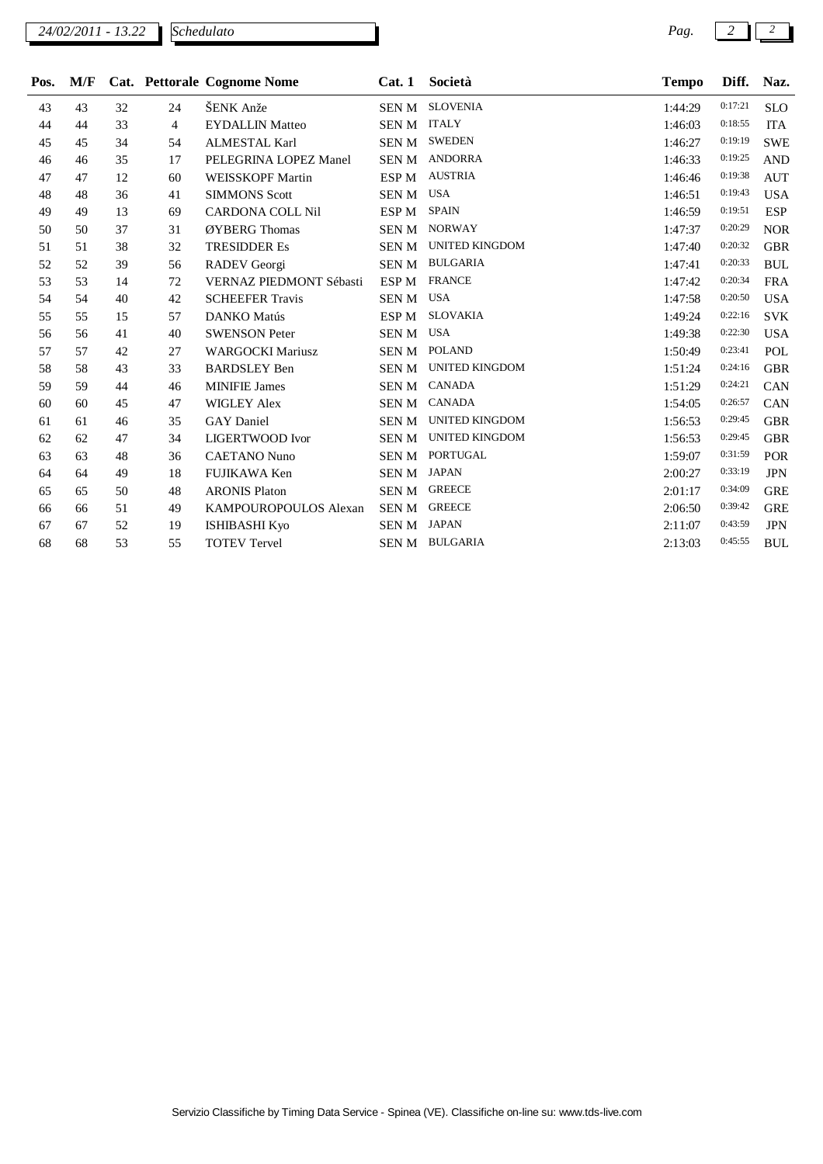*Schedulato*

| Pos. | M/F |    |    | Cat. Pettorale Cognome Nome | Cat.1            | Società               | <b>Tempo</b> | Diff.   | Naz.       |
|------|-----|----|----|-----------------------------|------------------|-----------------------|--------------|---------|------------|
| 43   | 43  | 32 | 24 | ŠENK Anže                   | SEN M            | <b>SLOVENIA</b>       | 1:44:29      | 0:17:21 | <b>SLO</b> |
| 44   | 44  | 33 | 4  | <b>EYDALLIN Matteo</b>      | SEN M ITALY      |                       | 1:46:03      | 0:18:55 | <b>ITA</b> |
| 45   | 45  | 34 | 54 | <b>ALMESTAL Karl</b>        | SEN M            | <b>SWEDEN</b>         | 1:46:27      | 0:19:19 | <b>SWE</b> |
| 46   | 46  | 35 | 17 | PELEGRINA LOPEZ Manel       |                  | SEN M ANDORRA         | 1:46:33      | 0:19:25 | <b>AND</b> |
| 47   | 47  | 12 | 60 | <b>WEISSKOPF Martin</b>     | ESP M            | <b>AUSTRIA</b>        | 1:46:46      | 0:19:38 | <b>AUT</b> |
| 48   | 48  | 36 | 41 | <b>SIMMONS</b> Scott        | <b>SENM</b>      | <b>USA</b>            | 1:46:51      | 0:19:43 | <b>USA</b> |
| 49   | 49  | 13 | 69 | <b>CARDONA COLL Nil</b>     | ESP M            | <b>SPAIN</b>          | 1:46:59      | 0:19:51 | <b>ESP</b> |
| 50   | 50  | 37 | 31 | ØYBERG Thomas               | SEN M            | <b>NORWAY</b>         | 1:47:37      | 0:20:29 | <b>NOR</b> |
| 51   | 51  | 38 | 32 | <b>TRESIDDER Es</b>         | SEN M            | <b>UNITED KINGDOM</b> | 1:47:40      | 0:20:32 | <b>GBR</b> |
| 52   | 52  | 39 | 56 | RADEV Georgi                |                  | SEN M BULGARIA        | 1:47:41      | 0:20:33 | <b>BUL</b> |
| 53   | 53  | 14 | 72 | VERNAZ PIEDMONT Sébasti     | ESP <sub>M</sub> | <b>FRANCE</b>         | 1:47:42      | 0:20:34 | <b>FRA</b> |
| 54   | 54  | 40 | 42 | <b>SCHEEFER Travis</b>      | SEN M            | <b>USA</b>            | 1:47:58      | 0:20:50 | <b>USA</b> |
| 55   | 55  | 15 | 57 | <b>DANKO</b> Matús          | ESP <sub>M</sub> | <b>SLOVAKIA</b>       | 1:49:24      | 0:22:16 | <b>SVK</b> |
| 56   | 56  | 41 | 40 | <b>SWENSON Peter</b>        | <b>SENM</b>      | <b>USA</b>            | 1:49:38      | 0:22:30 | <b>USA</b> |
| 57   | 57  | 42 | 27 | <b>WARGOCKI Mariusz</b>     |                  | SEN M POLAND          | 1:50:49      | 0:23:41 | POL        |
| 58   | 58  | 43 | 33 | <b>BARDSLEY Ben</b>         | SEN M            | <b>UNITED KINGDOM</b> | 1:51:24      | 0:24:16 | <b>GBR</b> |
| 59   | 59  | 44 | 46 | <b>MINIFIE James</b>        | SEN M            | <b>CANADA</b>         | 1:51:29      | 0:24:21 | CAN        |
| 60   | 60  | 45 | 47 | <b>WIGLEY Alex</b>          |                  | SEN M CANADA          | 1:54:05      | 0:26:57 | CAN        |
| 61   | 61  | 46 | 35 | <b>GAY</b> Daniel           | SEN M            | <b>UNITED KINGDOM</b> | 1:56:53      | 0:29:45 | <b>GBR</b> |
| 62   | 62  | 47 | 34 | <b>LIGERTWOOD</b> Ivor      |                  | SEN M UNITED KINGDOM  | 1:56:53      | 0:29:45 | <b>GBR</b> |
| 63   | 63  | 48 | 36 | <b>CAETANO Nuno</b>         | SEN M            | <b>PORTUGAL</b>       | 1:59:07      | 0:31:59 | <b>POR</b> |
| 64   | 64  | 49 | 18 | <b>FUJIKAWA Ken</b>         | SEN M JAPAN      |                       | 2:00:27      | 0:33:19 | <b>JPN</b> |
| 65   | 65  | 50 | 48 | <b>ARONIS Platon</b>        | SEN M            | <b>GREECE</b>         | 2:01:17      | 0:34:09 | <b>GRE</b> |
| 66   | 66  | 51 | 49 | KAMPOUROPOULOS Alexan       | SEN M            | <b>GREECE</b>         | 2:06:50      | 0:39:42 | <b>GRE</b> |
| 67   | 67  | 52 | 19 | <b>ISHIBASHI Kyo</b>        | SEN M JAPAN      |                       | 2:11:07      | 0:43:59 | <b>JPN</b> |
| 68   | 68  | 53 | 55 | <b>TOTEV Tervel</b>         |                  | SEN M BULGARIA        | 2:13:03      | 0:45:55 | <b>BUL</b> |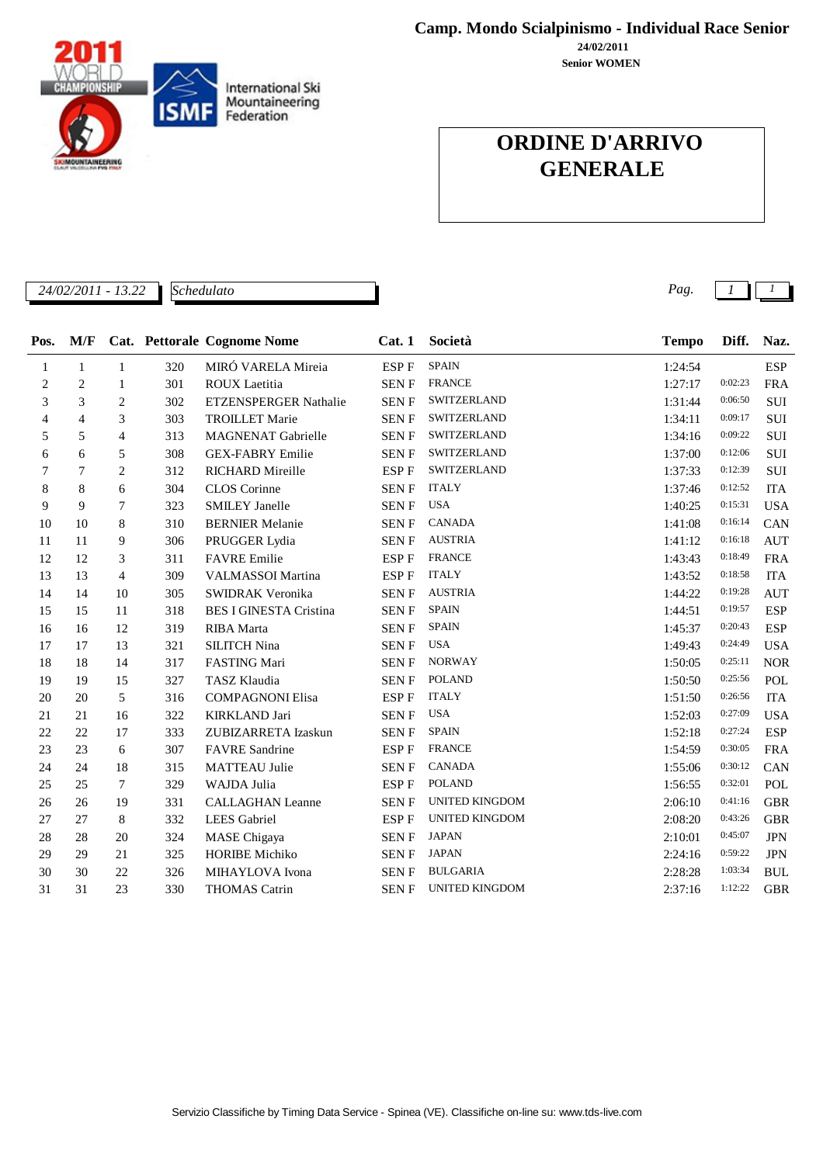**24/02/2011 Camp. Mondo Scialpinismo - Individual Race Senior**

**Senior WOMEN**

## **ORDINE D'ARRIVO GENERALE**

*24/02/2011 - 13.22 Pag. 1 1*

| Pos. | M/F            |                |     | Cat. Pettorale Cognome Nome   | Cat.1                                 | Società               | <b>Tempo</b> | Diff.   | Naz.       |
|------|----------------|----------------|-----|-------------------------------|---------------------------------------|-----------------------|--------------|---------|------------|
| 1    | $\mathbf{1}$   | $\mathbf{1}$   | 320 | MIRÓ VARELA Mireia            | $\ensuremath{\mathrm{ESP}}\xspace\to$ | <b>SPAIN</b>          | 1:24:54      |         | <b>ESP</b> |
| 2    | $\overline{c}$ | 1              | 301 | ROUX Laetitia                 | <b>SENF</b>                           | <b>FRANCE</b>         | 1:27:17      | 0:02:23 | <b>FRA</b> |
| 3    | 3              | 2              | 302 | <b>ETZENSPERGER Nathalie</b>  | <b>SENF</b>                           | SWITZERLAND           | 1:31:44      | 0:06:50 | SUI        |
| 4    | 4              | 3              | 303 | <b>TROILLET Marie</b>         | <b>SENF</b>                           | SWITZERLAND           | 1:34:11      | 0:09:17 | <b>SUI</b> |
| 5    | 5              | 4              | 313 | <b>MAGNENAT Gabrielle</b>     | <b>SENF</b>                           | SWITZERLAND           | 1:34:16      | 0:09:22 | SUI        |
| 6    | 6              | 5              | 308 | <b>GEX-FABRY Emilie</b>       | <b>SENF</b>                           | SWITZERLAND           | 1:37:00      | 0:12:06 | <b>SUI</b> |
| 7    | 7              | $\overline{2}$ | 312 | <b>RICHARD Mireille</b>       | <b>ESPF</b>                           | SWITZERLAND           | 1:37:33      | 0:12:39 | SUI        |
| 8    | 8              | 6              | 304 | CLOS Corinne                  | <b>SENF</b>                           | <b>ITALY</b>          | 1:37:46      | 0:12:52 | <b>ITA</b> |
| 9    | 9              | 7              | 323 | <b>SMILEY Janelle</b>         | SEN F                                 | <b>USA</b>            | 1:40:25      | 0:15:31 | <b>USA</b> |
| 10   | 10             | 8              | 310 | <b>BERNIER Melanie</b>        | <b>SENF</b>                           | <b>CANADA</b>         | 1:41:08      | 0:16:14 | CAN        |
| 11   | 11             | 9              | 306 | PRUGGER Lydia                 | <b>SENF</b>                           | <b>AUSTRIA</b>        | 1:41:12      | 0:16:18 | <b>AUT</b> |
| 12   | 12             | 3              | 311 | <b>FAVRE</b> Emilie           | ESP F                                 | <b>FRANCE</b>         | 1:43:43      | 0:18:49 | <b>FRA</b> |
| 13   | 13             | $\overline{4}$ | 309 | VALMASSOI Martina             | ESP F                                 | <b>ITALY</b>          | 1:43:52      | 0:18:58 | <b>ITA</b> |
| 14   | 14             | 10             | 305 | SWIDRAK Veronika              | <b>SENF</b>                           | <b>AUSTRIA</b>        | 1:44:22      | 0:19:28 | <b>AUT</b> |
| 15   | 15             | 11             | 318 | <b>BES I GINESTA Cristina</b> | <b>SENF</b>                           | <b>SPAIN</b>          | 1:44:51      | 0:19:57 | <b>ESP</b> |
| 16   | 16             | 12             | 319 | <b>RIBA</b> Marta             | <b>SENF</b>                           | <b>SPAIN</b>          | 1:45:37      | 0:20:43 | <b>ESP</b> |
| 17   | 17             | 13             | 321 | <b>SILITCH Nina</b>           | <b>SENF</b>                           | <b>USA</b>            | 1:49:43      | 0:24:49 | <b>USA</b> |
| 18   | 18             | 14             | 317 | <b>FASTING Mari</b>           | <b>SENF</b>                           | <b>NORWAY</b>         | 1:50:05      | 0:25:11 | <b>NOR</b> |
| 19   | 19             | 15             | 327 | TASZ Klaudia                  | <b>SENF</b>                           | <b>POLAND</b>         | 1:50:50      | 0:25:56 | POL        |
| 20   | 20             | 5              | 316 | <b>COMPAGNONI Elisa</b>       | ESP F                                 | <b>ITALY</b>          | 1:51:50      | 0:26:56 | <b>ITA</b> |
| 21   | 21             | 16             | 322 | <b>KIRKLAND Jari</b>          | ${\hbox{SEN}}$ ${\hbox{F}}$           | <b>USA</b>            | 1:52:03      | 0:27:09 | <b>USA</b> |
| 22   | 22             | 17             | 333 | ZUBIZARRETA Izaskun           | <b>SENF</b>                           | <b>SPAIN</b>          | 1:52:18      | 0:27:24 | <b>ESP</b> |
| 23   | 23             | 6              | 307 | <b>FAVRE</b> Sandrine         | ESP F                                 | <b>FRANCE</b>         | 1:54:59      | 0:30:05 | <b>FRA</b> |
| 24   | 24             | 18             | 315 | <b>MATTEAU Julie</b>          | <b>SENF</b>                           | <b>CANADA</b>         | 1:55:06      | 0:30:12 | CAN        |
| 25   | 25             | 7              | 329 | WAJDA Julia                   | ESP F                                 | <b>POLAND</b>         | 1:56:55      | 0:32:01 | POL        |
| 26   | 26             | 19             | 331 | <b>CALLAGHAN Leanne</b>       | <b>SENF</b>                           | <b>UNITED KINGDOM</b> | 2:06:10      | 0:41:16 | <b>GBR</b> |
| 27   | 27             | $\,8\,$        | 332 | <b>LEES</b> Gabriel           | ESP F                                 | <b>UNITED KINGDOM</b> | 2:08:20      | 0:43:26 | <b>GBR</b> |
| 28   | 28             | 20             | 324 | <b>MASE</b> Chigaya           | <b>SENF</b>                           | <b>JAPAN</b>          | 2:10:01      | 0:45:07 | <b>JPN</b> |
| 29   | 29             | 21             | 325 | <b>HORIBE Michiko</b>         | SEN F                                 | <b>JAPAN</b>          | 2:24:16      | 0:59:22 | <b>JPN</b> |
| 30   | 30             | 22             | 326 | MIHAYLOVA Ivona               | <b>SENF</b>                           | <b>BULGARIA</b>       | 2:28:28      | 1:03:34 | <b>BUL</b> |
| 31   | 31             | 23             | 330 | <b>THOMAS Catrin</b>          | <b>SENF</b>                           | <b>UNITED KINGDOM</b> | 2:37:16      | 1:12:22 | <b>GBR</b> |



*Schedulato*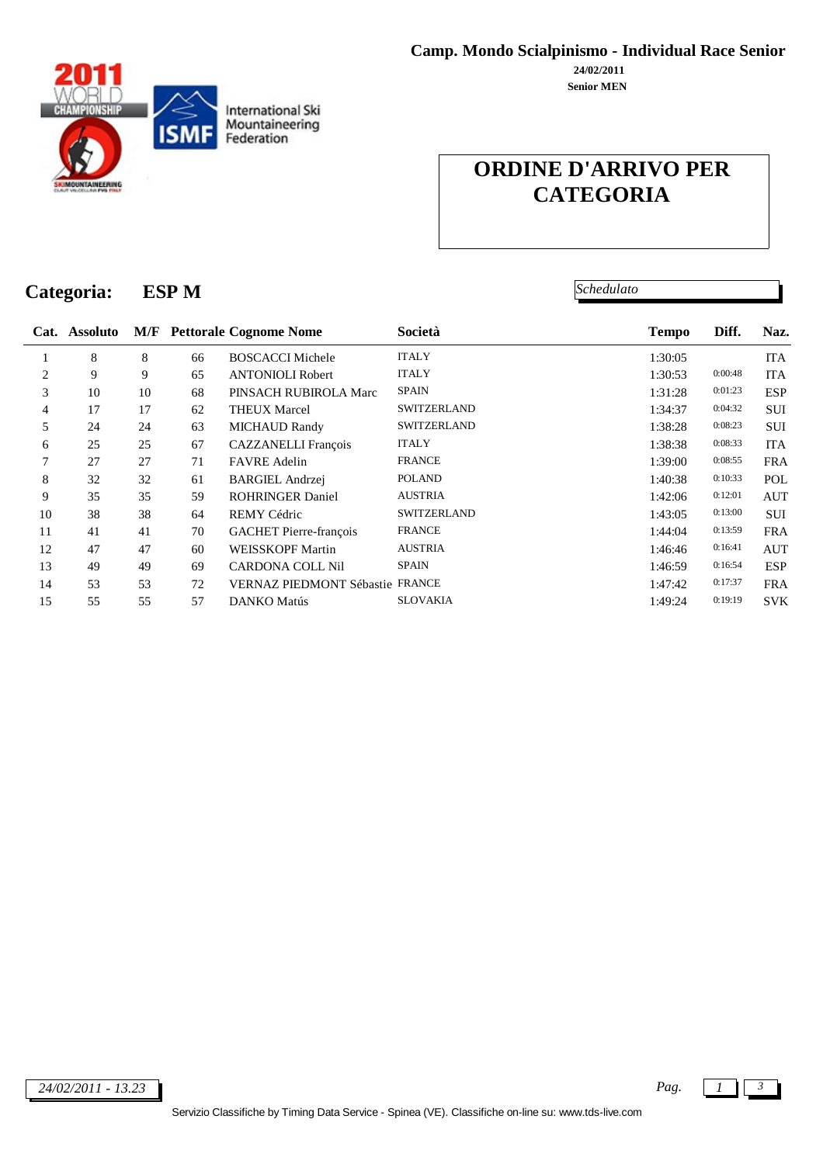

**Senior MEN 24/02/2011**

# **ORDINE D'ARRIVO PER CATEGORIA**

*Schedulato*

# **Categoria: ESP M**

|                | Cat. Assoluto |    |    | <b>M/F</b> Pettorale Cognome Nome | Società            | <b>Tempo</b> | Diff.   | Naz.       |
|----------------|---------------|----|----|-----------------------------------|--------------------|--------------|---------|------------|
|                | 8             | 8  | 66 | <b>BOSCACCI Michele</b>           | <b>ITALY</b>       | 1:30:05      |         | <b>ITA</b> |
| 2              | 9             | 9  | 65 | <b>ANTONIOLI Robert</b>           | <b>ITALY</b>       | 1:30:53      | 0:00:48 | <b>ITA</b> |
| 3              | 10            | 10 | 68 | PINSACH RUBIROLA Marc             | <b>SPAIN</b>       | 1:31:28      | 0:01:23 | <b>ESP</b> |
| $\overline{4}$ | 17            | 17 | 62 | <b>THEUX Marcel</b>               | <b>SWITZERLAND</b> | 1:34:37      | 0:04:32 | <b>SUI</b> |
| 5              | 24            | 24 | 63 | <b>MICHAUD Randy</b>              | <b>SWITZERLAND</b> | 1:38:28      | 0:08:23 | <b>SUI</b> |
| 6              | 25            | 25 | 67 | <b>CAZZANELLI</b> François        | <b>ITALY</b>       | 1:38:38      | 0:08:33 | <b>ITA</b> |
| 7              | 27            | 27 | 71 | <b>FAVRE</b> Adelin               | <b>FRANCE</b>      | 1:39:00      | 0:08:55 | <b>FRA</b> |
| 8              | 32            | 32 | 61 | <b>BARGIEL Andrzej</b>            | <b>POLAND</b>      | 1:40:38      | 0:10:33 | POL        |
| 9              | 35            | 35 | 59 | <b>ROHRINGER Daniel</b>           | <b>AUSTRIA</b>     | 1:42:06      | 0:12:01 | <b>AUT</b> |
| 10             | 38            | 38 | 64 | <b>REMY Cédric</b>                | <b>SWITZERLAND</b> | 1:43:05      | 0:13:00 | <b>SUI</b> |
| 11             | 41            | 41 | 70 | <b>GACHET</b> Pierre-françois     | <b>FRANCE</b>      | 1:44:04      | 0:13:59 | <b>FRA</b> |
| 12             | 47            | 47 | 60 | <b>WEISSKOPF Martin</b>           | <b>AUSTRIA</b>     | 1:46:46      | 0:16:41 | <b>AUT</b> |
| 13             | 49            | 49 | 69 | <b>CARDONA COLL Nil</b>           | <b>SPAIN</b>       | 1:46:59      | 0:16:54 | <b>ESP</b> |
| 14             | 53            | 53 | 72 | VERNAZ PIEDMONT Sébastie FRANCE   |                    | 1:47:42      | 0:17:37 | <b>FRA</b> |
| 15             | 55            | 55 | 57 | DANKO Matús                       | <b>SLOVAKIA</b>    | 1:49:24      | 0:19:19 | <b>SVK</b> |
|                |               |    |    |                                   |                    |              |         |            |